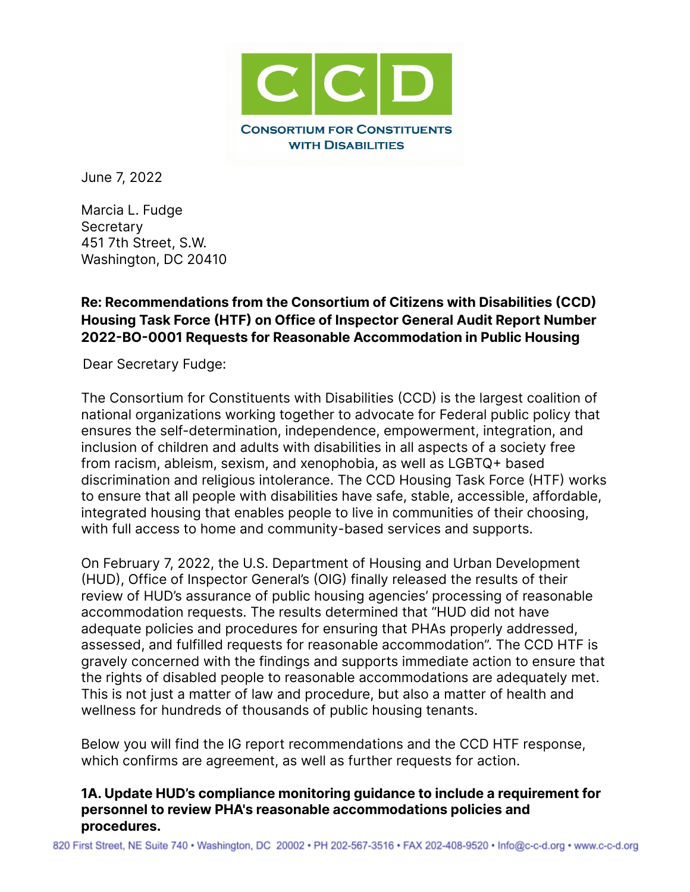

June 7, 2022

Marcia L. Fudge **Secretary** 451 7th Street, S.W. Washington, DC 20410

## **Re: Recommendations from the Consortium of Citizens with Disabilities (CCD) Housing Task Force (HTF) on Office of Inspector General Audit Report Number 2022-BO-0001 Requests for Reasonable Accommodation in Public Housing**

Dear Secretary Fudge:

The Consortium for Constituents with Disabilities (CCD) is the largest coalition of national organizations working together to advocate for Federal public policy that ensures the self-determination, independence, empowerment, integration, and inclusion of children and adults with disabilities in all aspects of a society free from racism, ableism, sexism, and xenophobia, as well as LGBTQ+ based discrimination and religious intolerance. The CCD Housing Task Force (HTF) works to ensure that all people with disabilities have safe, stable, accessible, affordable, integrated housing that enables people to live in communities of their choosing, with full access to home and community-based services and supports.

On February 7, 2022, the U.S. Department of Housing and Urban Development (HUD), Office of Inspector General's (OIG) finally released the results of their review of HUD's assurance of public housing agencies' processing of reasonable accommodation requests. The results determined that "HUD did not have adequate policies and procedures for ensuring that PHAs properly addressed, assessed, and fulfilled requests for reasonable accommodation". The CCD HTF is gravely concerned with the findings and supports immediate action to ensure that the rights of disabled people to reasonable accommodations are adequately met. This is not just a matter of law and procedure, but also a matter of health and wellness for hundreds of thousands of public housing tenants.

Below you will find the IG report recommendations and the CCD HTF response, which confirms are agreement, as well as further requests for action.

#### **1A. Update HUD's compliance monitoring guidance to include a requirement for personnel to review PHA's reasonable accommodations policies and procedures.**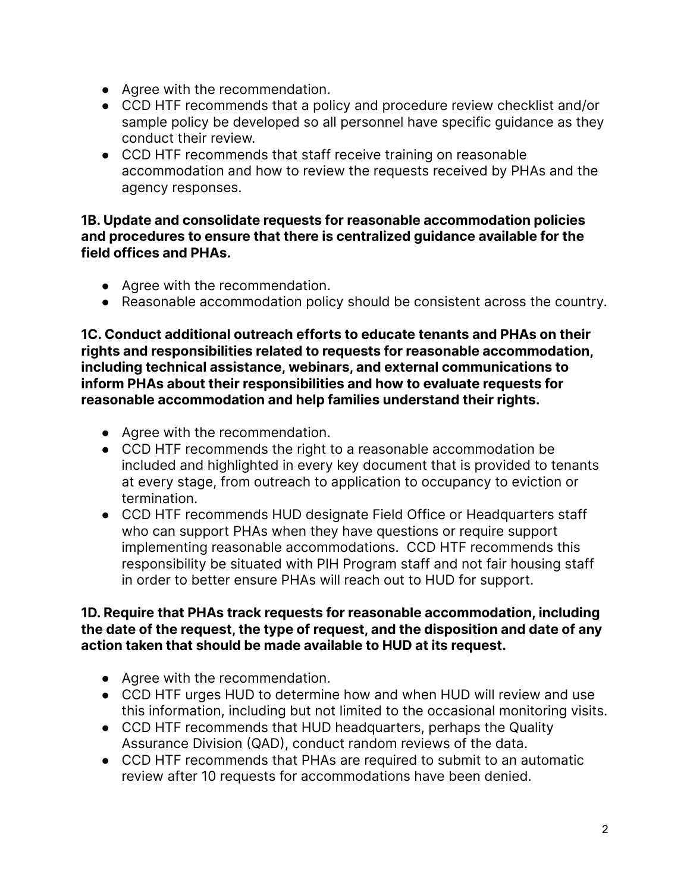- Agree with the recommendation.
- CCD HTF recommends that a policy and procedure review checklist and/or sample policy be developed so all personnel have specific guidance as they conduct their review.
- CCD HTF recommends that staff receive training on reasonable accommodation and how to review the requests received by PHAs and the agency responses.

### **1B. Update and consolidate requests for reasonable accommodation policies and procedures to ensure that there is centralized guidance available for the field offices and PHAs.**

- Agree with the recommendation.
- Reasonable accommodation policy should be consistent across the country.

**1C. Conduct additional outreach efforts to educate tenants and PHAs on their rights and responsibilities related to requests for reasonable accommodation, including technical assistance, webinars, and external communications to inform PHAs about their responsibilities and how to evaluate requests for reasonable accommodation and help families understand their rights.**

- Agree with the recommendation.
- CCD HTF recommends the right to a reasonable accommodation be included and highlighted in every key document that is provided to tenants at every stage, from outreach to application to occupancy to eviction or termination.
- CCD HTF recommends HUD designate Field Office or Headquarters staff who can support PHAs when they have questions or require support implementing reasonable accommodations. CCD HTF recommends this responsibility be situated with PIH Program staff and not fair housing staff in order to better ensure PHAs will reach out to HUD for support.

### **1D. Require that PHAs track requests for reasonable accommodation, including the date of the request, the type of request, and the disposition and date of any action taken that should be made available to HUD at its request.**

- Agree with the recommendation.
- CCD HTF urges HUD to determine how and when HUD will review and use this information, including but not limited to the occasional monitoring visits.
- CCD HTF recommends that HUD headquarters, perhaps the Quality Assurance Division (QAD), conduct random reviews of the data.
- CCD HTF recommends that PHAs are required to submit to an automatic review after 10 requests for accommodations have been denied.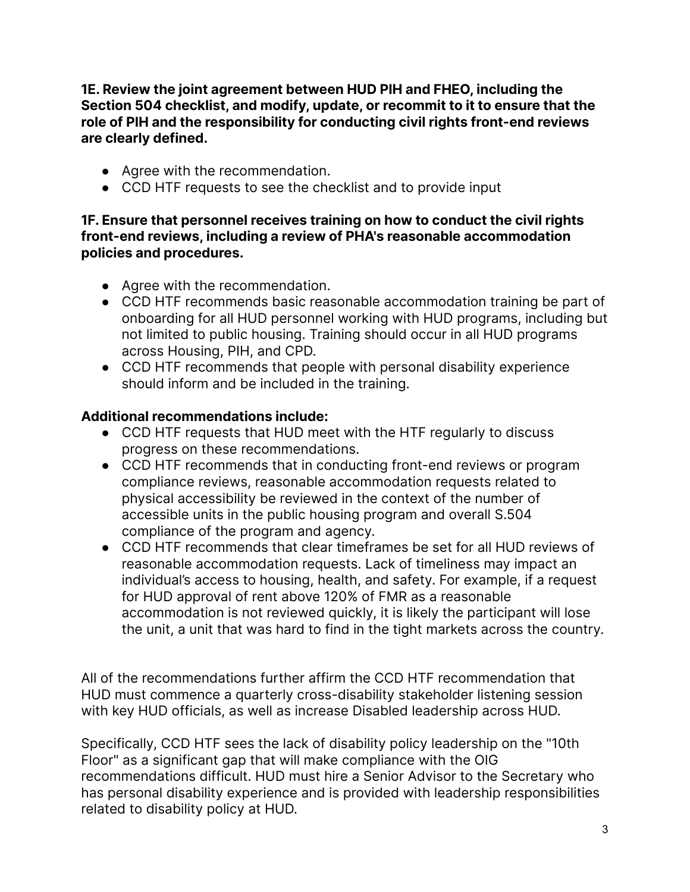**1E. Review the joint agreement between HUD PIH and FHEO, including the Section 504 checklist, and modify, update, or recommit to it to ensure that the role of PIH and the responsibility for conducting civil rights front-end reviews are clearly defined.**

- Agree with the recommendation.
- CCD HTF requests to see the checklist and to provide input

### **1F. Ensure that personnel receives training on how to conduct the civil rights front-end reviews, including a review of PHA's reasonable accommodation policies and procedures.**

- Agree with the recommendation.
- CCD HTF recommends basic reasonable accommodation training be part of onboarding for all HUD personnel working with HUD programs, including but not limited to public housing. Training should occur in all HUD programs across Housing, PIH, and CPD.
- CCD HTF recommends that people with personal disability experience should inform and be included in the training.

# **Additional recommendations include:**

- CCD HTF requests that HUD meet with the HTF regularly to discuss progress on these recommendations.
- CCD HTF recommends that in conducting front-end reviews or program compliance reviews, reasonable accommodation requests related to physical accessibility be reviewed in the context of the number of accessible units in the public housing program and overall S.504 compliance of the program and agency.
- CCD HTF recommends that clear timeframes be set for all HUD reviews of reasonable accommodation requests. Lack of timeliness may impact an individual's access to housing, health, and safety. For example, if a request for HUD approval of rent above 120% of FMR as a reasonable accommodation is not reviewed quickly, it is likely the participant will lose the unit, a unit that was hard to find in the tight markets across the country.

All of the recommendations further affirm the CCD HTF recommendation that HUD must commence a quarterly cross-disability stakeholder listening session with key HUD officials, as well as increase Disabled leadership across HUD.

Specifically, CCD HTF sees the lack of disability policy leadership on the "10th Floor" as a significant gap that will make compliance with the OIG recommendations difficult. HUD must hire a Senior Advisor to the Secretary who has personal disability experience and is provided with leadership responsibilities related to disability policy at HUD.